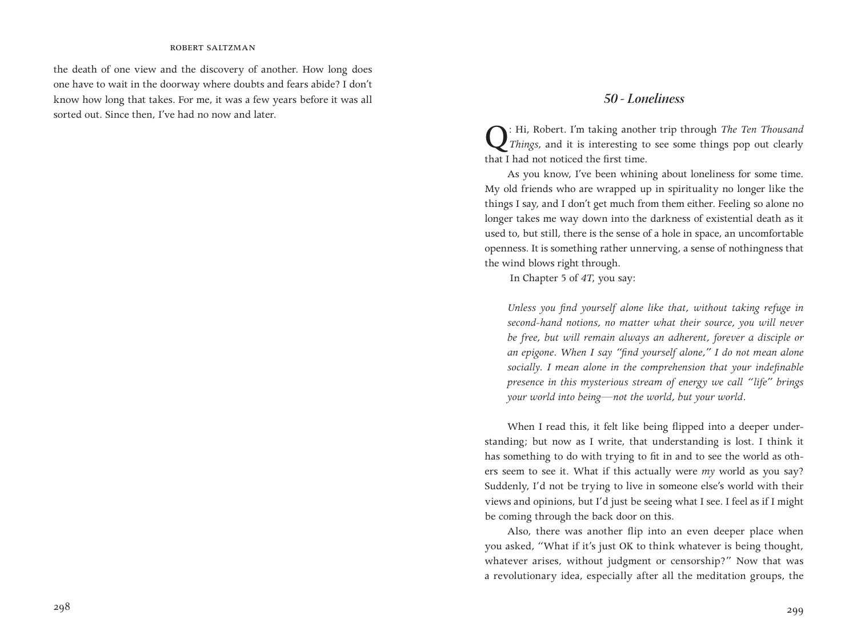## robert saltzman

the death of one view and the discovery of another. How long does one have to wait in the doorway where doubts and fears abide? I don't know how long that takes. For me, it was a few years before it was all sorted out. Since then, I've had no now and later.

# *50 - Loneliness*

Q: Hi, Robert. I'm taking another trip through *The Ten Thousand Things*, and it is interesting to see some things pop out clearly that I had not noticed the first time.

As you know, I've been whining about loneliness for some time. My old friends who are wrapped up in spirituality no longer like the things I say, and I don't get much from them either. Feeling so alone no longer takes me way down into the darkness of existential death as it used to, but still, there is the sense of a hole in space, an uncomfortable openness. It is something rather unnerving, a sense of nothingness that the wind blows right through.

In Chapter 5 of *4T*, you say:

*Unless you find yourself alone like that, without taking refuge in second-hand notions, no matter what their source, you will never be free, but will remain always an adherent, forever a disciple or an epigone. When I say "find yourself alone," I do not mean alone socially. I mean alone in the comprehension that your indefinable presence in this mysterious stream of energy we call "life" brings your world into being—not the world, but your world.* 

When I read this, it felt like being flipped into a deeper understanding; but now as I write, that understanding is lost. I think it has something to do with trying to fit in and to see the world as others seem to see it. What if this actually were *my* world as you say? Suddenly, I'd not be trying to live in someone else's world with their views and opinions, but I'd just be seeing what I see. I feel as if I might be coming through the back door on this.

Also, there was another flip into an even deeper place when you asked, "What if it's just OK to think whatever is being thought, whatever arises, without judgment or censorship?" Now that was a revolutionary idea, especially after all the meditation groups, the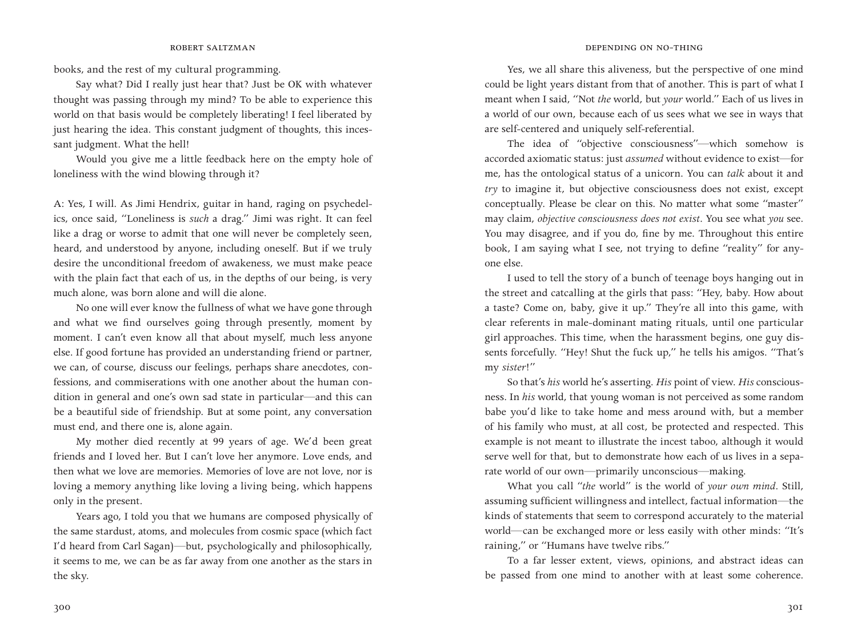books, and the rest of my cultural programming.

Say what? Did I really just hear that? Just be OK with whatever thought was passing through my mind? To be able to experience this world on that basis would be completely liberating! I feel liberated by just hearing the idea. This constant judgment of thoughts, this incessant judgment. What the hell!

Would you give me a little feedback here on the empty hole of loneliness with the wind blowing through it?

A: Yes, I will. As Jimi Hendrix, guitar in hand, raging on psychedelics, once said, "Loneliness is *such* a drag." Jimi was right. It can feel like a drag or worse to admit that one will never be completely seen, heard, and understood by anyone, including oneself. But if we truly desire the unconditional freedom of awakeness, we must make peace with the plain fact that each of us, in the depths of our being, is very much alone, was born alone and will die alone.

No one will ever know the fullness of what we have gone through and what we find ourselves going through presently, moment by moment. I can't even know all that about myself, much less anyone else. If good fortune has provided an understanding friend or partner, we can, of course, discuss our feelings, perhaps share anecdotes, confessions, and commiserations with one another about the human condition in general and one's own sad state in particular—and this can be a beautiful side of friendship. But at some point, any conversation must end, and there one is, alone again.

My mother died recently at 99 years of age. We'd been great friends and I loved her. But I can't love her anymore. Love ends, and then what we love are memories. Memories of love are not love, nor is loving a memory anything like loving a living being, which happens only in the present.

Years ago, I told you that we humans are composed physically of the same stardust, atoms, and molecules from cosmic space (which fact I'd heard from Carl Sagan)—but, psychologically and philosophically, it seems to me, we can be as far away from one another as the stars in the sky.

## **ROBERT SALTZMAN DEPENDING ON NO-THING**

Yes, we all share this aliveness, but the perspective of one mind could be light years distant from that of another. This is part of what I meant when I said, "Not *the* world, but *your* world." Each of us lives in a world of our own, because each of us sees what we see in ways that are self-centered and uniquely self-referential.

The idea of "objective consciousness"—which somehow is accorded axiomatic status: just *assumed* without evidence to exist—for me, has the ontological status of a unicorn. You can *talk* about it and *try* to imagine it, but objective consciousness does not exist, except conceptually. Please be clear on this. No matter what some "master" may claim, *objective consciousness does not exist*. You see what *you* see. You may disagree, and if you do, fine by me. Throughout this entire book, I am saying what I see, not trying to define "reality" for anyone else.

I used to tell the story of a bunch of teenage boys hanging out in the street and catcalling at the girls that pass: "Hey, baby. How about a taste? Come on, baby, give it up." They're all into this game, with clear referents in male-dominant mating rituals, until one particular girl approaches. This time, when the harassment begins, one guy dissents forcefully. "Hey! Shut the fuck up," he tells his amigos. "That's my *sister*!"

So that's *his* world he's asserting. *His* point of view. *His* consciousness. In *his* world, that young woman is not perceived as some random babe you'd like to take home and mess around with, but a member of his family who must, at all cost, be protected and respected. This example is not meant to illustrate the incest taboo, although it would serve well for that, but to demonstrate how each of us lives in a separate world of our own—primarily unconscious—making.

What you call "*the* world" is the world of *your own mind*. Still, assuming sufficient willingness and intellect, factual information—the kinds of statements that seem to correspond accurately to the material world—can be exchanged more or less easily with other minds: "It's raining," or "Humans have twelve ribs."

To a far lesser extent, views, opinions, and abstract ideas can be passed from one mind to another with at least some coherence.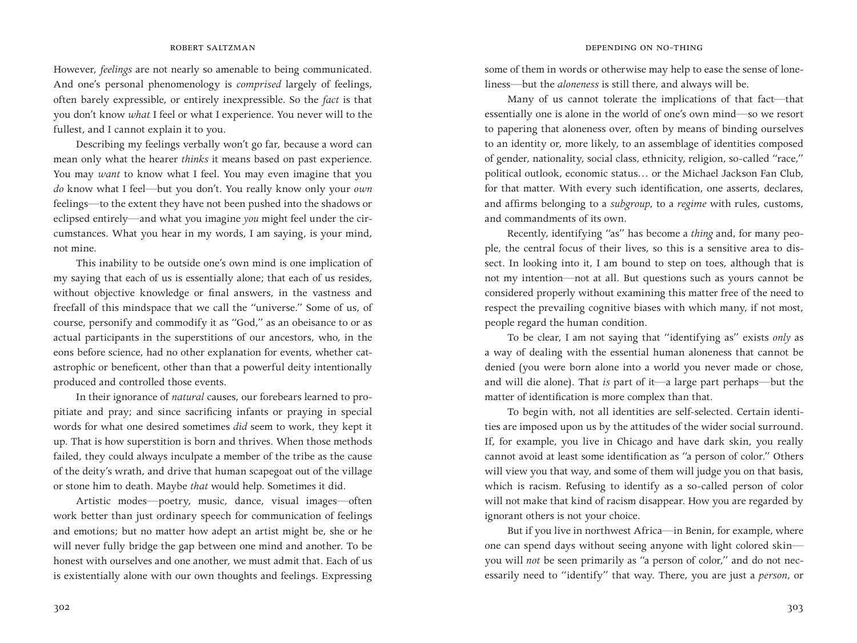However, *feelings* are not nearly so amenable to being communicated. And one's personal phenomenology is *comprised* largely of feelings, often barely expressible, or entirely inexpressible. So the *fact* is that you don't know *what* I feel or what I experience. You never will to the fullest, and I cannot explain it to you.

Describing my feelings verbally won't go far, because a word can mean only what the hearer *thinks* it means based on past experience. You may *want* to know what I feel. You may even imagine that you *do* know what I feel—but you don't. You really know only your *own* feelings—to the extent they have not been pushed into the shadows or eclipsed entirely—and what you imagine *you* might feel under the circumstances. What you hear in my words, I am saying, is your mind, not mine.

This inability to be outside one's own mind is one implication of my saying that each of us is essentially alone; that each of us resides, without objective knowledge or final answers, in the vastness and freefall of this mindspace that we call the "universe." Some of us, of course, personify and commodify it as "God," as an obeisance to or as actual participants in the superstitions of our ancestors, who, in the eons before science, had no other explanation for events, whether catastrophic or beneficent, other than that a powerful deity intentionally produced and controlled those events.

In their ignorance of *natural* causes, our forebears learned to propitiate and pray; and since sacrificing infants or praying in special words for what one desired sometimes *did* seem to work, they kept it up. That is how superstition is born and thrives. When those methods failed, they could always inculpate a member of the tribe as the cause of the deity's wrath, and drive that human scapegoat out of the village or stone him to death. Maybe *that* would help. Sometimes it did.

Artistic modes—poetry, music, dance, visual images—often work better than just ordinary speech for communication of feelings and emotions; but no matter how adept an artist might be, she or he will never fully bridge the gap between one mind and another. To be honest with ourselves and one another, we must admit that. Each of us is existentially alone with our own thoughts and feelings. Expressing

some of them in words or otherwise may help to ease the sense of loneliness—but the *aloneness* is still there, and always will be.

Many of us cannot tolerate the implications of that fact—that essentially one is alone in the world of one's own mind—so we resort to papering that aloneness over, often by means of binding ourselves to an identity or, more likely, to an assemblage of identities composed of gender, nationality, social class, ethnicity, religion, so-called "race," political outlook, economic status… or the Michael Jackson Fan Club, for that matter. With every such identification, one asserts, declares, and affirms belonging to a *subgroup*, to a *regime* with rules, customs, and commandments of its own.

Recently, identifying "as" has become a *thing* and, for many people, the central focus of their lives, so this is a sensitive area to dissect. In looking into it, I am bound to step on toes, although that is not my intention—not at all. But questions such as yours cannot be considered properly without examining this matter free of the need to respect the prevailing cognitive biases with which many, if not most, people regard the human condition.

To be clear, I am not saying that "identifying as" exists *only* as a way of dealing with the essential human aloneness that cannot be denied (you were born alone into a world you never made or chose, and will die alone). That *is* part of it—a large part perhaps—but the matter of identification is more complex than that.

To begin with, not all identities are self-selected. Certain identities are imposed upon us by the attitudes of the wider social surround. If, for example, you live in Chicago and have dark skin, you really cannot avoid at least some identification as "a person of color." Others will view you that way, and some of them will judge you on that basis, which is racism. Refusing to identify as a so-called person of color will not make that kind of racism disappear. How you are regarded by ignorant others is not your choice.

But if you live in northwest Africa—in Benin, for example, where one can spend days without seeing anyone with light colored skin you will *not* be seen primarily as "a person of color," and do not necessarily need to "identify" that way. There, you are just a *person*, or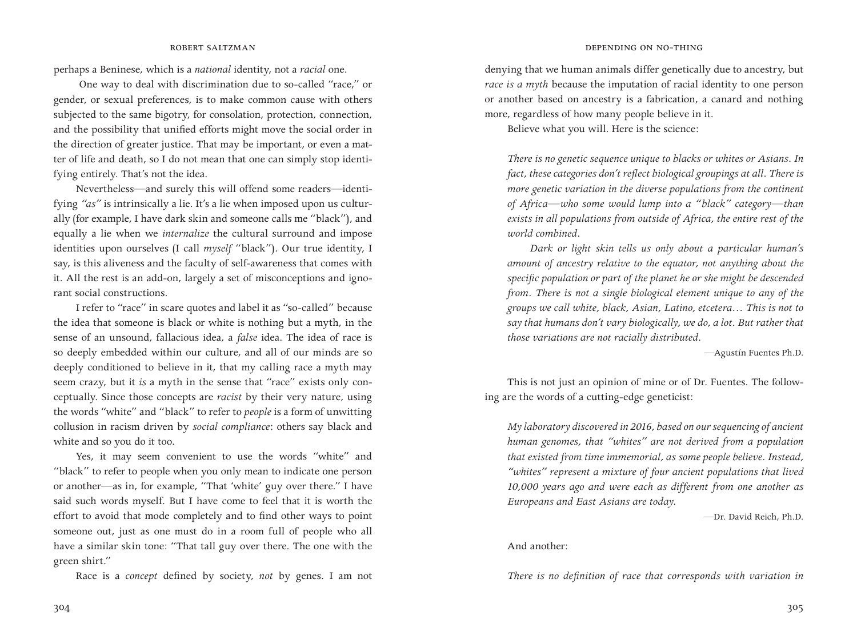perhaps a Beninese, which is a *national* identity, not a *racial* one.

 One way to deal with discrimination due to so-called "race," or gender, or sexual preferences, is to make common cause with others subjected to the same bigotry, for consolation, protection, connection, and the possibility that unified efforts might move the social order in the direction of greater justice. That may be important, or even a matter of life and death, so I do not mean that one can simply stop identifying entirely. That's not the idea.

Nevertheless—and surely this will offend some readers—identifying *"as"* is intrinsically a lie. It's a lie when imposed upon us culturally (for example, I have dark skin and someone calls me "black"), and equally a lie when we *internalize* the cultural surround and impose identities upon ourselves (I call *myself* "black"). Our true identity, I say, is this aliveness and the faculty of self-awareness that comes with it. All the rest is an add-on, largely a set of misconceptions and ignorant social constructions.

I refer to "race" in scare quotes and label it as "so-called" because the idea that someone is black or white is nothing but a myth, in the sense of an unsound, fallacious idea, a *false* idea. The idea of race is so deeply embedded within our culture, and all of our minds are so deeply conditioned to believe in it, that my calling race a myth may seem crazy, but it *is* a myth in the sense that "race" exists only conceptually. Since those concepts are *racist* by their very nature, using the words "white" and "black" to refer to *people* is a form of unwitting collusion in racism driven by *social compliance*: others say black and white and so you do it too.

Yes, it may seem convenient to use the words "white" and "black" to refer to people when you only mean to indicate one person or another—as in, for example, "That 'white' guy over there." I have said such words myself. But I have come to feel that it is worth the effort to avoid that mode completely and to find other ways to point someone out, just as one must do in a room full of people who all have a similar skin tone: "That tall guy over there. The one with the green shirt."

Race is a *concept* defined by society, *not* by genes. I am not

denying that we human animals differ genetically due to ancestry, but *race is a myth* because the imputation of racial identity to one person or another based on ancestry is a fabrication, a canard and nothing more, regardless of how many people believe in it.

Believe what you will. Here is the science:

*There is no genetic sequence unique to blacks or whites or Asians. In fact, these categories don't reflect biological groupings at all. There is more genetic variation in the diverse populations from the continent of Africa—who some would lump into a "black" category—than exists in all populations from outside of Africa, the entire rest of the world combined.*

*Dark or light skin tells us only about a particular human's amount of ancestry relative to the equator, not anything about the specific population or part of the planet he or she might be descended from. There is not a single biological element unique to any of the groups we call white, black, Asian, Latino, etcetera… This is not to say that humans don't vary biologically, we do, a lot. But rather that those variations are not racially distributed.*

—Agustín Fuentes Ph.D.

This is not just an opinion of mine or of Dr. Fuentes. The following are the words of a cutting-edge geneticist:

*My laboratory discovered in 2016, based on our sequencing of ancient human genomes, that "whites" are not derived from a population that existed from time immemorial, as some people believe. Instead, "whites" represent a mixture of four ancient populations that lived 10,000 years ago and were each as different from one another as Europeans and East Asians are today*.

—Dr. David Reich, Ph.D.

## And another:

*There is no definition of race that corresponds with variation in*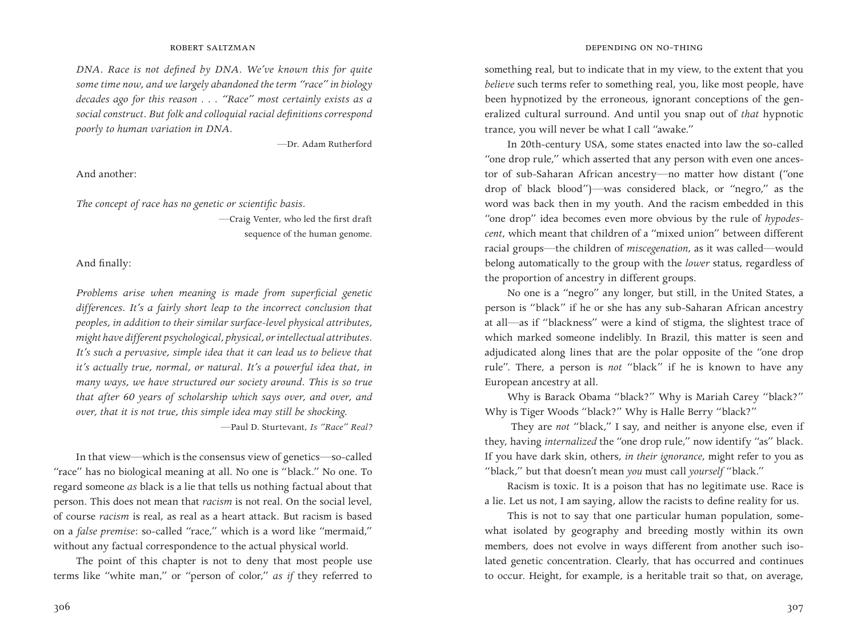*DNA. Race is not defined by DNA. We've known this for quite some time now, and we largely abandoned the term "race" in biology decades ago for this reason . . . "Race" most certainly exists as a social construct. But folk and colloquial racial definitions correspond poorly to human variation in DNA.*

—Dr. Adam Rutherford

And another:

*The concept of race has no genetic or scientific basis.*

 —Craig Venter, who led the first draft sequence of the human genome.

## And finally:

*Problems arise when meaning is made from superficial genetic differences. It's a fairly short leap to the incorrect conclusion that peoples, in addition to their similar surface-level physical attributes, might have different psychological, physical, or intellectual attributes. It's such a pervasive, simple idea that it can lead us to believe that it's actually true, normal, or natural. It's a powerful idea that, in many ways, we have structured our society around. This is so true that after 60 years of scholarship which says over, and over, and over, that it is not true, this simple idea may still be shocking.* —Paul D. Sturtevant, *Is "Race" Real?*

In that view—which is the consensus view of genetics—so-called "race" has no biological meaning at all. No one is "black." No one. To regard someone *as* black is a lie that tells us nothing factual about that person. This does not mean that *racism* is not real. On the social level, of course *racism* is real, as real as a heart attack. But racism is based on a *false premise*: so-called "race," which is a word like "mermaid," without any factual correspondence to the actual physical world.

The point of this chapter is not to deny that most people use terms like "white man," or "person of color," *as if* they referred to

## **ROBERT SALTZMAN DEPENDING ON NO-THING**

something real, but to indicate that in my view, to the extent that you *believe* such terms refer to something real, you, like most people, have been hypnotized by the erroneous, ignorant conceptions of the generalized cultural surround. And until you snap out of *that* hypnotic trance, you will never be what I call "awake."

In 20th-century USA, some states enacted into law the so-called "one drop rule," which asserted that any person with even one ancestor of sub-Saharan African ancestry—no matter how distant ("one drop of black blood")—was considered black, or "negro," as the word was back then in my youth. And the racism embedded in this "one drop" idea becomes even more obvious by the rule of *hypodescent*, which meant that children of a "mixed union" between different racial groups—the children of *miscegenation*, as it was called—would belong automatically to the group with the *lower* status, regardless of the proportion of ancestry in different groups.

No one is a "negro" any longer, but still, in the United States, a person is "black" if he or she has any sub-Saharan African ancestry at all—as if "blackness" were a kind of stigma, the slightest trace of which marked someone indelibly. In Brazil, this matter is seen and adjudicated along lines that are the polar opposite of the "one drop rule". There, a person is *not* "black" if he is known to have any European ancestry at all.

Why is Barack Obama "black?" Why is Mariah Carey "black?" Why is Tiger Woods "black?" Why is Halle Berry "black?"

 They are *not* "black," I say, and neither is anyone else, even if they, having *internalized* the "one drop rule," now identify "as" black. If you have dark skin, others, *in their ignorance*, might refer to you as "black," but that doesn't mean *you* must call *yourself* "black."

Racism is toxic. It is a poison that has no legitimate use. Race is a lie. Let us not, I am saying, allow the racists to define reality for us.

This is not to say that one particular human population, somewhat isolated by geography and breeding mostly within its own members, does not evolve in ways different from another such isolated genetic concentration. Clearly, that has occurred and continues to occur. Height, for example, is a heritable trait so that, on average,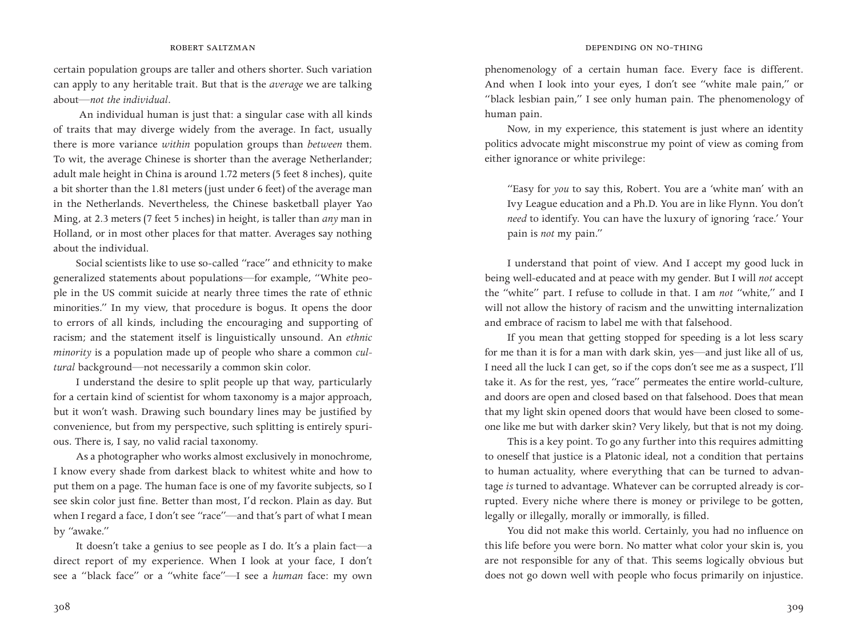certain population groups are taller and others shorter. Such variation can apply to any heritable trait. But that is the *average* we are talking about—*not the individual*.

 An individual human is just that: a singular case with all kinds of traits that may diverge widely from the average. In fact, usually there is more variance *within* population groups than *between* them. To wit, the average Chinese is shorter than the average Netherlander; adult male height in China is around 1.72 meters (5 feet 8 inches), quite a bit shorter than the 1.81 meters (just under 6 feet) of the average man in the Netherlands. Nevertheless, the Chinese basketball player Yao Ming, at 2.3 meters (7 feet 5 inches) in height, is taller than *any* man in Holland, or in most other places for that matter. Averages say nothing about the individual.

Social scientists like to use so-called "race" and ethnicity to make generalized statements about populations—for example, "White people in the US commit suicide at nearly three times the rate of ethnic minorities." In my view, that procedure is bogus. It opens the door to errors of all kinds, including the encouraging and supporting of racism; and the statement itself is linguistically unsound. An *ethnic minority* is a population made up of people who share a common *cultural* background—not necessarily a common skin color.

I understand the desire to split people up that way, particularly for a certain kind of scientist for whom taxonomy is a major approach, but it won't wash. Drawing such boundary lines may be justified by convenience, but from my perspective, such splitting is entirely spurious. There is, I say, no valid racial taxonomy.

As a photographer who works almost exclusively in monochrome, I know every shade from darkest black to whitest white and how to put them on a page. The human face is one of my favorite subjects, so I see skin color just fine. Better than most, I'd reckon. Plain as day. But when I regard a face, I don't see "race"—and that's part of what I mean by "awake."

It doesn't take a genius to see people as I do. It's a plain fact—a direct report of my experience. When I look at your face, I don't see a "black face" or a "white face"—I see a *human* face: my own

phenomenology of a certain human face. Every face is different. And when I look into your eyes, I don't see "white male pain," or "black lesbian pain," I see only human pain. The phenomenology of human pain.

Now, in my experience, this statement is just where an identity politics advocate might misconstrue my point of view as coming from either ignorance or white privilege:

"Easy for *you* to say this, Robert. You are a 'white man' with an Ivy League education and a Ph.D. You are in like Flynn. You don't *need* to identify. You can have the luxury of ignoring 'race.' Your pain is *not* my pain."

I understand that point of view. And I accept my good luck in being well-educated and at peace with my gender. But I will *not* accept the "white" part. I refuse to collude in that. I am *not* "white," and I will not allow the history of racism and the unwitting internalization and embrace of racism to label me with that falsehood.

If you mean that getting stopped for speeding is a lot less scary for me than it is for a man with dark skin, yes—and just like all of us, I need all the luck I can get, so if the cops don't see me as a suspect, I'll take it. As for the rest, yes, "race" permeates the entire world-culture, and doors are open and closed based on that falsehood. Does that mean that my light skin opened doors that would have been closed to someone like me but with darker skin? Very likely, but that is not my doing.

This is a key point. To go any further into this requires admitting to oneself that justice is a Platonic ideal, not a condition that pertains to human actuality, where everything that can be turned to advantage *is* turned to advantage. Whatever can be corrupted already is corrupted. Every niche where there is money or privilege to be gotten, legally or illegally, morally or immorally, is filled.

You did not make this world. Certainly, you had no influence on this life before you were born. No matter what color your skin is, you are not responsible for any of that. This seems logically obvious but does not go down well with people who focus primarily on injustice.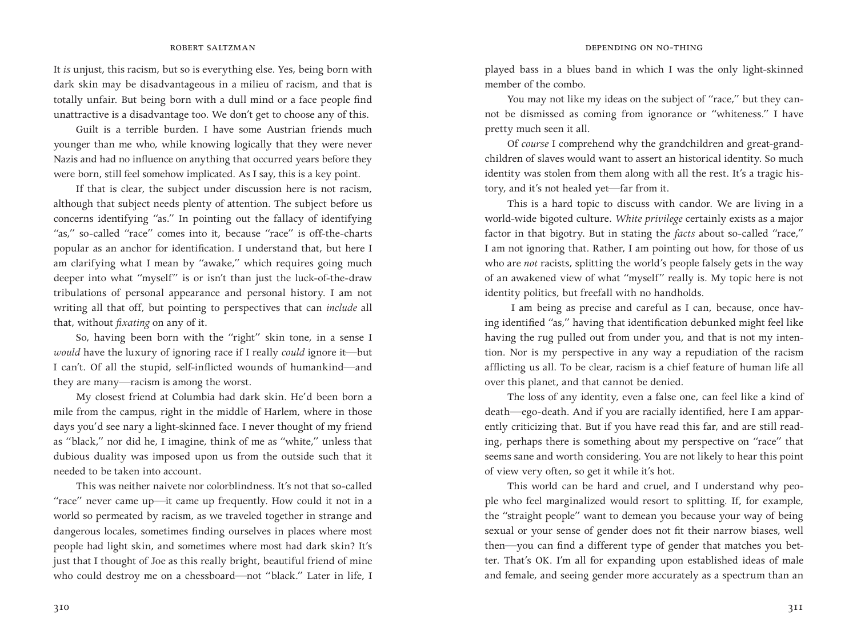It *is* unjust, this racism, but so is everything else. Yes, being born with dark skin may be disadvantageous in a milieu of racism, and that is totally unfair. But being born with a dull mind or a face people find unattractive is a disadvantage too. We don't get to choose any of this.

Guilt is a terrible burden. I have some Austrian friends much younger than me who, while knowing logically that they were never Nazis and had no influence on anything that occurred years before they were born, still feel somehow implicated. As I say, this is a key point.

If that is clear, the subject under discussion here is not racism, although that subject needs plenty of attention. The subject before us concerns identifying "as." In pointing out the fallacy of identifying "as," so-called "race" comes into it, because "race" is off-the-charts popular as an anchor for identification. I understand that, but here I am clarifying what I mean by "awake," which requires going much deeper into what "myself" is or isn't than just the luck-of-the-draw tribulations of personal appearance and personal history. I am not writing all that off, but pointing to perspectives that can *include* all that, without *fixating* on any of it.

So, having been born with the "right" skin tone, in a sense I *would* have the luxury of ignoring race if I really *could* ignore it—but I can't. Of all the stupid, self-inflicted wounds of humankind—and they are many—racism is among the worst.

My closest friend at Columbia had dark skin. He'd been born a mile from the campus, right in the middle of Harlem, where in those days you'd see nary a light-skinned face. I never thought of my friend as "black," nor did he, I imagine, think of me as "white," unless that dubious duality was imposed upon us from the outside such that it needed to be taken into account.

This was neither naivete nor colorblindness. It's not that so-called "race" never came up—it came up frequently. How could it not in a world so permeated by racism, as we traveled together in strange and dangerous locales, sometimes finding ourselves in places where most people had light skin, and sometimes where most had dark skin? It's just that I thought of Joe as this really bright, beautiful friend of mine who could destroy me on a chessboard—not "black." Later in life, I played bass in a blues band in which I was the only light-skinned member of the combo.

You may not like my ideas on the subject of "race," but they cannot be dismissed as coming from ignorance or "whiteness." I have pretty much seen it all.

Of *course* I comprehend why the grandchildren and great-grandchildren of slaves would want to assert an historical identity. So much identity was stolen from them along with all the rest. It's a tragic history, and it's not healed yet—far from it.

This is a hard topic to discuss with candor. We are living in a world-wide bigoted culture. *White privilege* certainly exists as a major factor in that bigotry. But in stating the *facts* about so-called "race," I am not ignoring that. Rather, I am pointing out how, for those of us who are *not* racists, splitting the world's people falsely gets in the way of an awakened view of what "myself" really is. My topic here is not identity politics, but freefall with no handholds.

 I am being as precise and careful as I can, because, once having identified "as," having that identification debunked might feel like having the rug pulled out from under you, and that is not my intention. Nor is my perspective in any way a repudiation of the racism afflicting us all. To be clear, racism is a chief feature of human life all over this planet, and that cannot be denied.

The loss of any identity, even a false one, can feel like a kind of death—ego-death. And if you are racially identified, here I am apparently criticizing that. But if you have read this far, and are still reading, perhaps there is something about my perspective on "race" that seems sane and worth considering. You are not likely to hear this point of view very often, so get it while it's hot.

This world can be hard and cruel, and I understand why people who feel marginalized would resort to splitting. If, for example, the "straight people" want to demean you because your way of being sexual or your sense of gender does not fit their narrow biases, well then—you can find a different type of gender that matches you better. That's OK. I'm all for expanding upon established ideas of male and female, and seeing gender more accurately as a spectrum than an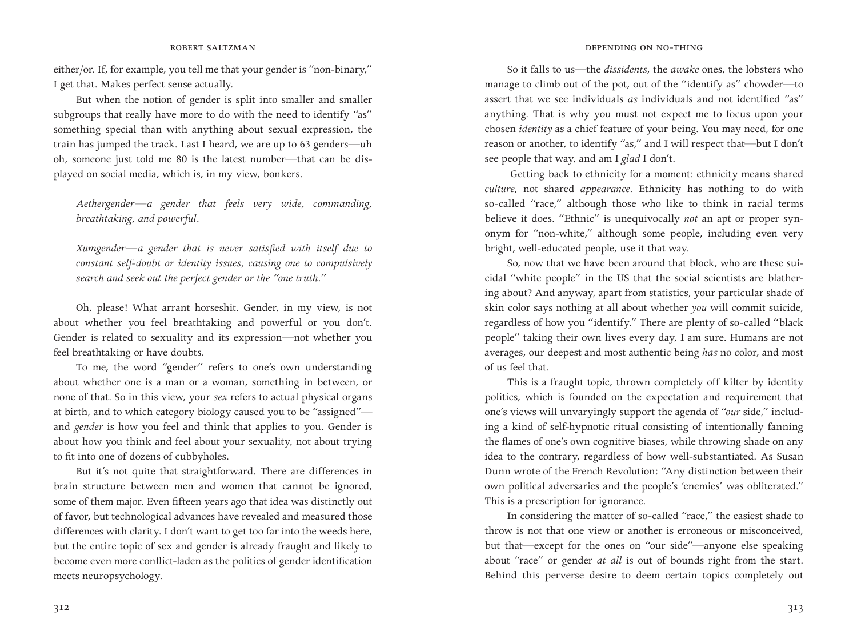either/or. If, for example, you tell me that your gender is "non-binary," I get that. Makes perfect sense actually.

But when the notion of gender is split into smaller and smaller subgroups that really have more to do with the need to identify "as" something special than with anything about sexual expression, the train has jumped the track. Last I heard, we are up to 63 genders—uh oh, someone just told me 80 is the latest number—that can be displayed on social media, which is, in my view, bonkers.

*Aethergender—a gender that feels very wide, commanding, breathtaking, and powerful.*

*Xumgender—a gender that is never satisfied with itself due to constant self-doubt or identity issues, causing one to compulsively search and seek out the perfect gender or the "one truth."*

Oh, please! What arrant horseshit. Gender, in my view, is not about whether you feel breathtaking and powerful or you don't. Gender is related to sexuality and its expression*—*not whether you feel breathtaking or have doubts.

To me, the word "gender" refers to one's own understanding about whether one is a man or a woman, something in between, or none of that. So in this view, your *sex* refers to actual physical organs at birth, and to which category biology caused you to be "assigned" and *gender* is how you feel and think that applies to you. Gender is about how you think and feel about your sexuality*,* not about trying to fit into one of dozens of cubbyholes.

But it's not quite that straightforward. There are differences in brain structure between men and women that cannot be ignored, some of them major. Even fifteen years ago that idea was distinctly out of favor, but technological advances have revealed and measured those differences with clarity. I don't want to get too far into the weeds here, but the entire topic of sex and gender is already fraught and likely to become even more conflict-laden as the politics of gender identification meets neuropsychology.

So it falls to us—the *dissidents*, the *awake* ones, the lobsters who manage to climb out of the pot, out of the "identify as" chowder—to assert that we see individuals *as* individuals and not identified "as" anything. That is why you must not expect me to focus upon your chosen *identity* as a chief feature of your being. You may need, for one reason or another, to identify "as," and I will respect that—but I don't see people that way, and am I *glad* I don't.

 Getting back to ethnicity for a moment: ethnicity means shared *culture*, not shared *appearance*. Ethnicity has nothing to do with so-called "race," although those who like to think in racial terms believe it does. "Ethnic" is unequivocally *not* an apt or proper synonym for "non-white," although some people, including even very bright, well-educated people, use it that way.

So, now that we have been around that block, who are these suicidal "white people" in the US that the social scientists are blathering about? And anyway, apart from statistics, your particular shade of skin color says nothing at all about whether *you* will commit suicide, regardless of how you "identify." There are plenty of so-called "black people" taking their own lives every day, I am sure. Humans are not averages, our deepest and most authentic being *has* no color, and most of us feel that.

This is a fraught topic, thrown completely off kilter by identity politics, which is founded on the expectation and requirement that one's views will unvaryingly support the agenda of "*our* side," including a kind of self-hypnotic ritual consisting of intentionally fanning the flames of one's own cognitive biases, while throwing shade on any idea to the contrary, regardless of how well-substantiated. As Susan Dunn wrote of the French Revolution: "Any distinction between their own political adversaries and the people's 'enemies' was obliterated." This is a prescription for ignorance.

In considering the matter of so-called "race," the easiest shade to throw is not that one view or another is erroneous or misconceived, but that—except for the ones on "our side"—anyone else speaking about "race" or gender *at all* is out of bounds right from the start. Behind this perverse desire to deem certain topics completely out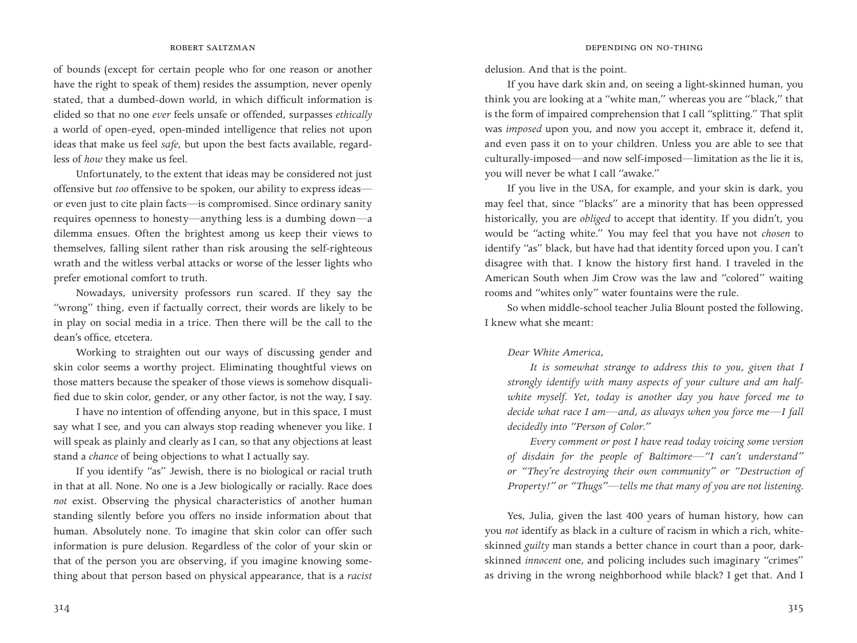of bounds (except for certain people who for one reason or another have the right to speak of them) resides the assumption, never openly stated, that a dumbed-down world, in which difficult information is elided so that no one *ever* feels unsafe or offended, surpasses *ethically* a world of open-eyed, open-minded intelligence that relies not upon ideas that make us feel *safe*, but upon the best facts available, regardless of *how* they make us feel.

Unfortunately, to the extent that ideas may be considered not just offensive but *too* offensive to be spoken, our ability to express ideas or even just to cite plain facts—is compromised. Since ordinary sanity requires openness to honesty—anything less is a dumbing down—a dilemma ensues. Often the brightest among us keep their views to themselves, falling silent rather than risk arousing the self-righteous wrath and the witless verbal attacks or worse of the lesser lights who prefer emotional comfort to truth.

Nowadays, university professors run scared. If they say the "wrong" thing, even if factually correct, their words are likely to be in play on social media in a trice. Then there will be the call to the dean's office, etcetera.

Working to straighten out our ways of discussing gender and skin color seems a worthy project. Eliminating thoughtful views on those matters because the speaker of those views is somehow disqualified due to skin color, gender, or any other factor, is not the way, I say.

I have no intention of offending anyone, but in this space, I must say what I see, and you can always stop reading whenever you like. I will speak as plainly and clearly as I can, so that any objections at least stand a *chance* of being objections to what I actually say.

If you identify "as" Jewish, there is no biological or racial truth in that at all. None. No one is a Jew biologically or racially. Race does *not* exist. Observing the physical characteristics of another human standing silently before you offers no inside information about that human. Absolutely none. To imagine that skin color can offer such information is pure delusion. Regardless of the color of your skin or that of the person you are observing, if you imagine knowing something about that person based on physical appearance, that is a *racist* delusion. And that is the point.

If you have dark skin and, on seeing a light-skinned human, you think you are looking at a "white man," whereas you are "black," that is the form of impaired comprehension that I call "splitting." That split was *imposed* upon you, and now you accept it, embrace it, defend it, and even pass it on to your children. Unless you are able to see that culturally-imposed—and now self-imposed—limitation as the lie it is, you will never be what I call "awake."

If you live in the USA, for example, and your skin is dark, you may feel that, since "blacks" are a minority that has been oppressed historically, you are *obliged* to accept that identity. If you didn't, you would be "acting white." You may feel that you have not *chosen* to identify "as" black, but have had that identity forced upon you. I can't disagree with that. I know the history first hand. I traveled in the American South when Jim Crow was the law and "colored" waiting rooms and "whites only" water fountains were the rule.

So when middle-school teacher Julia Blount posted the following, I knew what she meant:

## *Dear White America,*

*It is somewhat strange to address this to you, given that I strongly identify with many aspects of your culture and am halfwhite myself. Yet, today is another day you have forced me to decide what race I am—and, as always when you force me—I fall decidedly into "Person of Color."*

*Every comment or post I have read today voicing some version of disdain for the people of Baltimore—"I can't understand" or "They're destroying their own community" or "Destruction of Property!" or "Thugs"—tells me that many of you are not listening.*

Yes, Julia, given the last 400 years of human history, how can you *not* identify as black in a culture of racism in which a rich, whiteskinned *guilty* man stands a better chance in court than a poor, darkskinned *innocent* one, and policing includes such imaginary "crimes" as driving in the wrong neighborhood while black? I get that. And I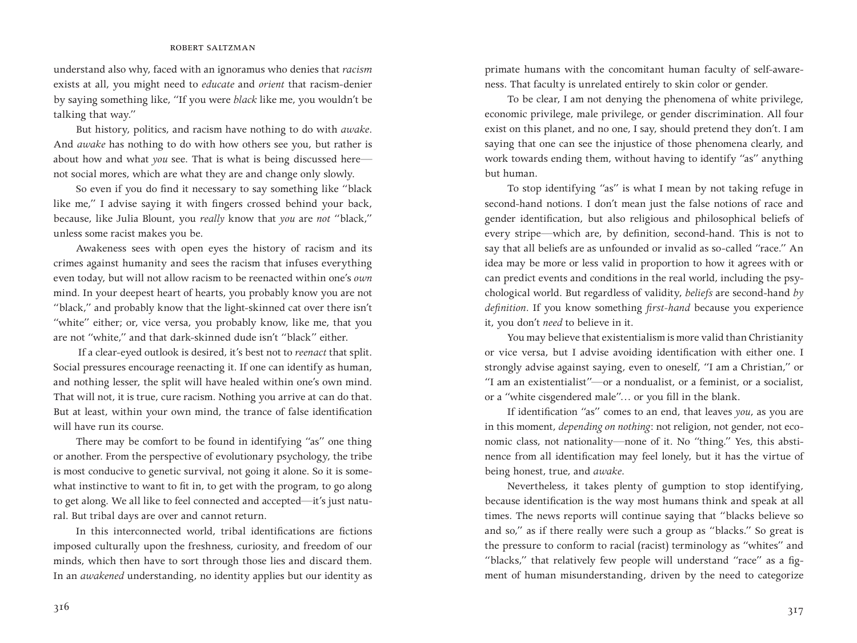## robert saltzman

understand also why, faced with an ignoramus who denies that *racism* exists at all, you might need to *educate* and *orient* that racism-denier by saying something like, "If you were *black* like me, you wouldn't be talking that way."

But history, politics, and racism have nothing to do with *awake.* And *awake* has nothing to do with how others see you, but rather is about how and what *you* see. That is what is being discussed here not social mores, which are what they are and change only slowly.

So even if you do find it necessary to say something like "black like me," I advise saying it with fingers crossed behind your back, because, like Julia Blount, you *really* know that *you* are *not* "black," unless some racist makes you be.

Awakeness sees with open eyes the history of racism and its crimes against humanity and sees the racism that infuses everything even today, but will not allow racism to be reenacted within one's *own* mind. In your deepest heart of hearts, you probably know you are not "black," and probably know that the light-skinned cat over there isn't "white" either; or, vice versa, you probably know, like me, that you are not "white," and that dark-skinned dude isn't "black" either.

 If a clear-eyed outlook is desired, it's best not to *reenact* that split. Social pressures encourage reenacting it. If one can identify as human, and nothing lesser, the split will have healed within one's own mind. That will not, it is true, cure racism. Nothing you arrive at can do that. But at least, within your own mind, the trance of false identification will have run its course.

There may be comfort to be found in identifying "as" one thing or another. From the perspective of evolutionary psychology, the tribe is most conducive to genetic survival, not going it alone. So it is somewhat instinctive to want to fit in, to get with the program, to go along to get along. We all like to feel connected and accepted—it's just natural. But tribal days are over and cannot return.

In this interconnected world, tribal identifications are fictions imposed culturally upon the freshness, curiosity, and freedom of our minds, which then have to sort through those lies and discard them. In an *awakened* understanding, no identity applies but our identity as

primate humans with the concomitant human faculty of self-awareness. That faculty is unrelated entirely to skin color or gender.

To be clear, I am not denying the phenomena of white privilege, economic privilege, male privilege, or gender discrimination. All four exist on this planet, and no one, I say, should pretend they don't. I am saying that one can see the injustice of those phenomena clearly, and work towards ending them, without having to identify "as" anything but human.

To stop identifying "as" is what I mean by not taking refuge in second-hand notions. I don't mean just the false notions of race and gender identification, but also religious and philosophical beliefs of every stripe—which are, by definition, second-hand. This is not to say that all beliefs are as unfounded or invalid as so-called "race." An idea may be more or less valid in proportion to how it agrees with or can predict events and conditions in the real world, including the psychological world. But regardless of validity, *beliefs* are second-hand *by definition*. If you know something *first-hand* because you experience it, you don't *need* to believe in it.

You may believe that existentialism is more valid than Christianity or vice versa, but I advise avoiding identification with either one. I strongly advise against saying, even to oneself, "I am a Christian," or "I am an existentialist"—or a nondualist, or a feminist, or a socialist, or a "white cisgendered male"… or you fill in the blank.

If identification "as" comes to an end, that leaves *you*, as you are in this moment, *depending on nothing*: not religion, not gender, not economic class, not nationality—none of it. No "thing." Yes, this abstinence from all identification may feel lonely, but it has the virtue of being honest, true, and *awake*.

Nevertheless, it takes plenty of gumption to stop identifying, because identification is the way most humans think and speak at all times. The news reports will continue saying that "blacks believe so and so," as if there really were such a group as "blacks." So great is the pressure to conform to racial (racist) terminology as "whites" and "blacks," that relatively few people will understand "race" as a figment of human misunderstanding, driven by the need to categorize